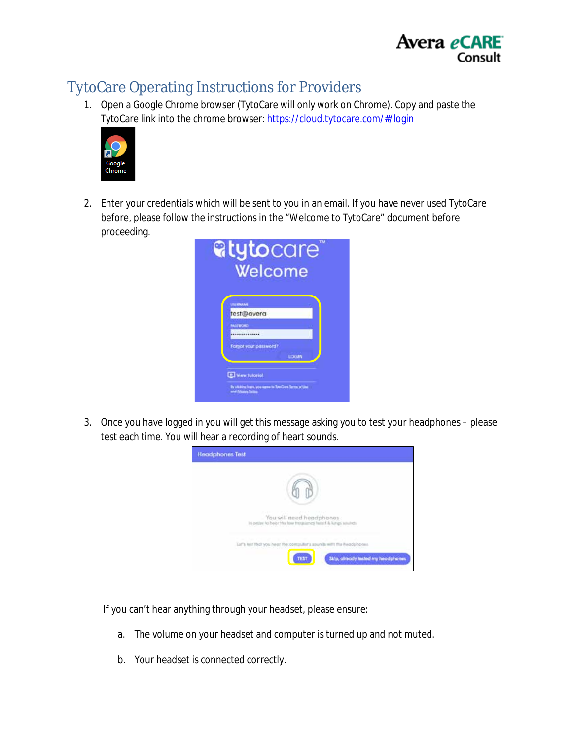

# TytoCare Operating Instructions for Providers

1. Open a Google Chrome browser (TytoCare will only work on Chrome). Copy and paste the TytoCare link into the chrome browser:<https://cloud.tytocare.com/#/login>



2. Enter your credentials which will be sent to you in an email. If you have never used TytoCare before, please follow the instructions in the "Welcome to TytoCare" document before proceeding.



3. Once you have logged in you will get this message asking you to test your headphones – please test each time. You will hear a recording of heart sounds.



If you can't hear anything through your headset, please ensure:

- a. The volume on your headset and computer is turned up and not muted.
- b. Your headset is connected correctly.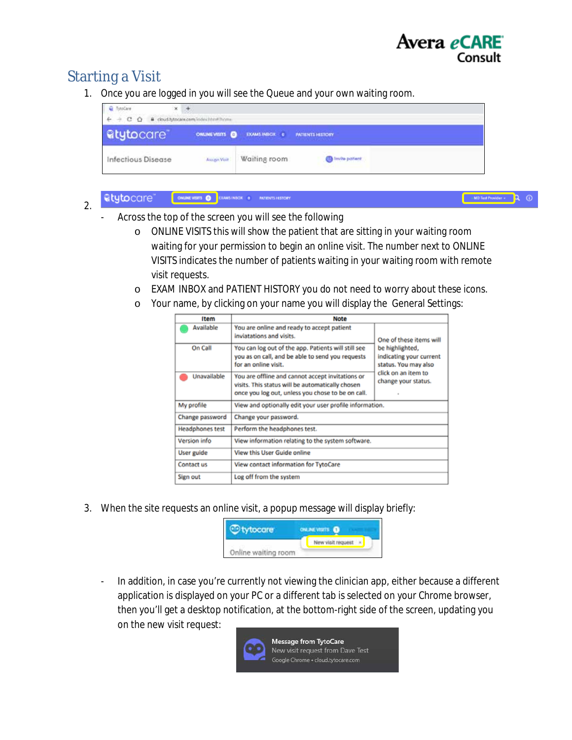

## Starting a Visit

2.

1. Once you are logged in you will see the Queue and your own waiting room.

| stoCare<br>×       |                                       |                                     |                         |  |
|--------------------|---------------------------------------|-------------------------------------|-------------------------|--|
| $+$ C $\Omega$     | @ cloud.tytocare.com/index.htm#/home- |                                     |                         |  |
| <b>atytocare</b>   |                                       | ONLINEVISITS <b>O</b> EXAMS INSOX 0 | PATIENTS HISTORY        |  |
| Infectious Disease | Assign Visit                          | Waiting room                        | <b>B</b> Invite patient |  |

#### ONLINE VISITS O EXAMS INSOX 0 ARTISYTS HISTORY atytocare<sup>®</sup>

 $\omega$ 

- Across the top of the screen you will see the following
	- o ONLINE VISITS this will show the patient that are sitting in your waiting room waiting for your permission to begin an online visit. The number next to ONLINE VISITS indicates the number of patients waiting in your waiting room with remote visit requests.
	- o EXAM INBOX and PATIENT HISTORY you do not need to worry about these icons.
	- o Your name, by clicking on your name you will display the General Settings:

| <b>Item</b>            | <b>Note</b>                                                                                                                                               |                                                                    |  |  |
|------------------------|-----------------------------------------------------------------------------------------------------------------------------------------------------------|--------------------------------------------------------------------|--|--|
| Available              | You are online and ready to accept patient<br>inviatations and visits.                                                                                    | One of these items will                                            |  |  |
| On Call                | You can log out of the app. Patients will still see<br>you as on call, and be able to send you requests<br>for an online visit.                           | be highlighted,<br>indicating your current<br>status. You may also |  |  |
| Unavailable            | You are offline and cannot accept invitations or<br>visits. This status will be automatically chosen<br>once you log out, unless you chose to be on call. | click on an item to<br>change your status.                         |  |  |
| My profile             | View and optionally edit your user profile information.                                                                                                   |                                                                    |  |  |
| Change password        | Change your password.                                                                                                                                     |                                                                    |  |  |
| <b>Headphones test</b> | Perform the headphones test.                                                                                                                              |                                                                    |  |  |
| Version info           | View information relating to the system software.                                                                                                         |                                                                    |  |  |
| User guide             | View this User Guide online                                                                                                                               |                                                                    |  |  |
| Contact us             | View contact information for TytoCare                                                                                                                     |                                                                    |  |  |
| Sign out               | Log off from the system                                                                                                                                   |                                                                    |  |  |

3. When the site requests an online visit, a popup message will display briefly:

|                     | <b>ALCOHOL</b>    |  |  |  |
|---------------------|-------------------|--|--|--|
|                     | New visit request |  |  |  |
| Online waiting room |                   |  |  |  |

- In addition, in case you're currently not viewing the clinician app, either because a different application is displayed on your PC or a different tab is selected on your Chrome browser, then you'll get a desktop notification, at the bottom-right side of the screen, updating you on the new visit request:

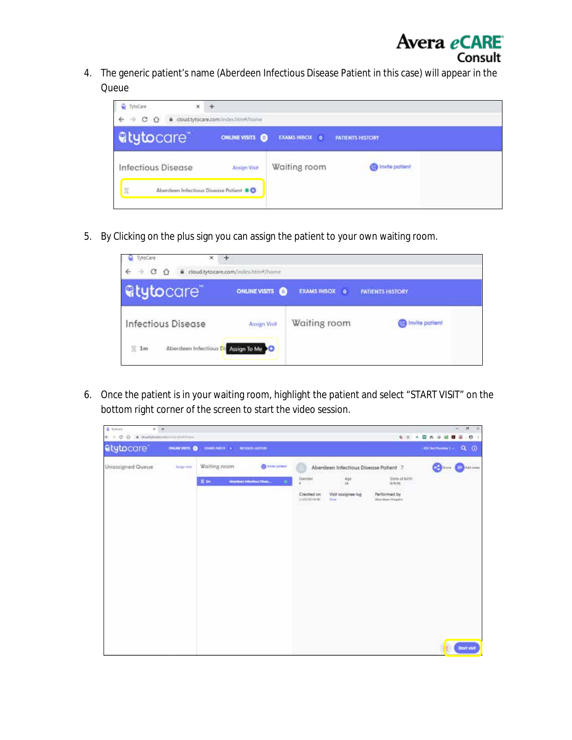

4. The generic patient's name (Aberdeen Infectious Disease Patient in this case) will appear in the Queue



5. By Clicking on the plus sign you can assign the patient to your own waiting room.

| TytoCare<br>×             |                                       |                         |                         |
|---------------------------|---------------------------------------|-------------------------|-------------------------|
| c<br>$\rightarrow$        | ii cloud.tytocare.com/index.htm#/home |                         |                         |
| <b>Rtytocare</b>          | ONLINE VISITS O                       | <b>EXAMS INBOX</b><br>۰ | <b>PATIENTS HISTORY</b> |
| <b>Infectious Disease</b> | <b>Assign Visit</b>                   | Waiting room            | Invite patient          |
| $\Sigma$ 1m               | Aberdeen Infectious Dis Assign To Me  |                         |                         |

6. Once the patient is in your waiting room, highlight the patient and select "START VISIT" on the bottom right corner of the screen to start the video session.

| <b>C</b> folios<br>$x = +$<br>$6\rightarrow$ $0$ $0$ $\rightarrow$ mathematics instrume |               |                         |                                                                       |                                                     |                                                                                                                 |                                                                      | $\sigma$<br>-<br>$-200$<br>999 日 8 0 0 日 日 日 1 |
|-----------------------------------------------------------------------------------------|---------------|-------------------------|-----------------------------------------------------------------------|-----------------------------------------------------|-----------------------------------------------------------------------------------------------------------------|----------------------------------------------------------------------|------------------------------------------------|
| atytocare                                                                               | ONLINEYOUTS O | EXAMENDOL: 8 NORMALEONY |                                                                       |                                                     |                                                                                                                 |                                                                      | $\circ$<br>$\alpha$<br>+ DE list Provider Live |
| Unassigned Queue                                                                        | Arrige Van    | Waiting room<br>$X =$   | <b>Call Horte porterni</b><br>Aberthen Interferant Tises<br>$\bullet$ | Gentler<br><b>W.</b><br>Created on<br>1/21/20 19:00 | Aberdeen Infectious Disease Patient 7<br>$\frac{\text{Apr}}{\text{m}}$<br>Visit qualignee lost<br><b>Victor</b> | Dote of birth.<br>5/0.01<br>Performed by<br><b>Manufase House</b> 'd | <b>Command Container</b>                       |
|                                                                                         |               |                         |                                                                       |                                                     |                                                                                                                 |                                                                      | <b>Stortvhit</b>                               |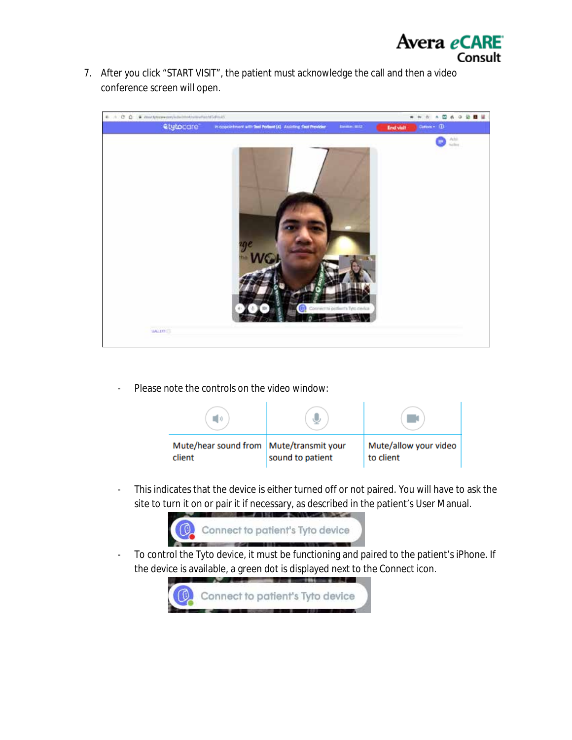

7. After you click "START VISIT", the patient must acknowledge the call and then a video conference screen will open.



Please note the controls on the video window:



- This indicates that the device is either turned off or not paired. You will have to ask the site to turn it on or pair it if necessary, as described in the patient's User Manual.



- To control the Tyto device, it must be functioning and paired to the patient's iPhone. If the device is available, a green dot is displayed next to the Connect icon.

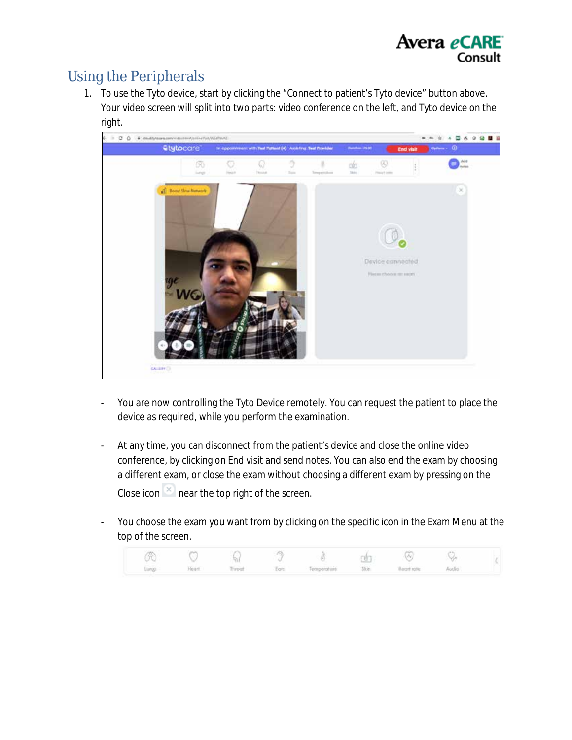

# Using the Peripherals

1. To use the Tyto device, start by clicking the "Connect to patient's Tyto device" button above. Your video screen will split into two parts: video conference on the left, and Tyto device on the right.



- You are now controlling the Tyto Device remotely. You can request the patient to place the device as required, while you perform the examination.
- At any time, you can disconnect from the patient's device and close the online video conference, by clicking on End visit and send notes. You can also end the exam by choosing a different exam, or close the exam without choosing a different exam by pressing on the Close icon  $\mathbb{R}$  near the top right of the screen.
- You choose the exam you want from by clicking on the specific icon in the Exam Menu at the top of the screen.

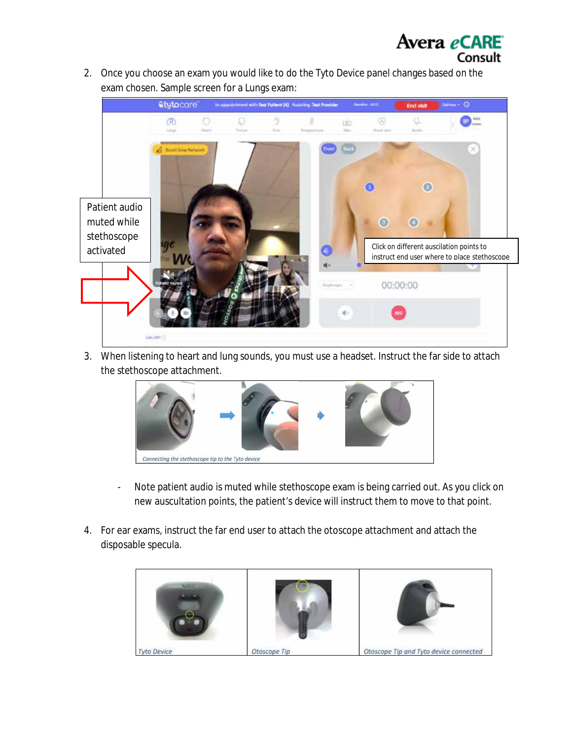

Avera eCARE

Consult

3. When listening to heart and lung sounds, you must use a headset. Instruct the far side to attach the stethoscope attachment.



- Note patient audio is muted while stethoscope exam is being carried out. As you click on new auscultation points, the patient's device will instruct them to move to that point.
- 4. For ear exams, instruct the far end user to attach the otoscope attachment and attach the disposable specula.

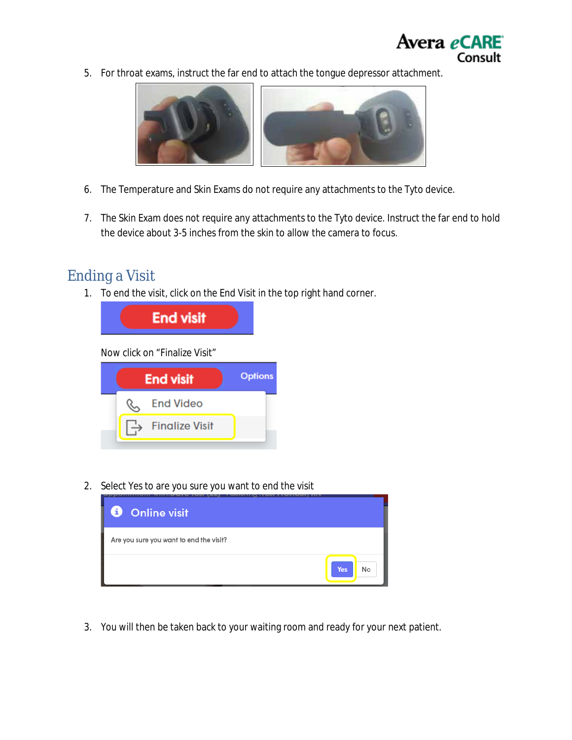

5. For throat exams, instruct the far end to attach the tongue depressor attachment.



- 6. The Temperature and Skin Exams do not require any attachments to the Tyto device.
- 7. The Skin Exam does not require any attachments to the Tyto device. Instruct the far end to hold the device about 3-5 inches from the skin to allow the camera to focus.

#### Ending a Visit

1. To end the visit, click on the End Visit in the top right hand corner.



2. Select Yes to are you sure you want to end the visit



3. You will then be taken back to your waiting room and ready for your next patient.